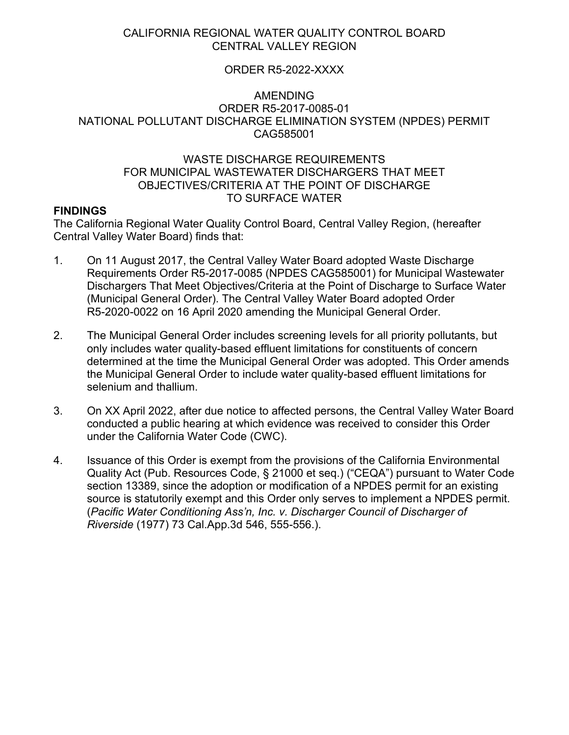# CALIFORNIA REGIONAL WATER QUALITY CONTROL BOARD CENTRAL VALLEY REGION

## ORDER R5-2022-XXXX

## AMENDING ORDER R5-2017-0085-01 NATIONAL POLLUTANT DISCHARGE ELIMINATION SYSTEM (NPDES) PERMIT CAG585001

## WASTE DISCHARGE REQUIREMENTS FOR MUNICIPAL WASTEWATER DISCHARGERS THAT MEET OBJECTIVES/CRITERIA AT THE POINT OF DISCHARGE TO SURFACE WATER

## **FINDINGS**

The California Regional Water Quality Control Board, Central Valley Region, (hereafter Central Valley Water Board) finds that:

- 1. On 11 August 2017, the Central Valley Water Board adopted Waste Discharge Requirements Order R5-2017-0085 (NPDES CAG585001) for Municipal Wastewater Dischargers That Meet Objectives/Criteria at the Point of Discharge to Surface Water (Municipal General Order). The Central Valley Water Board adopted Order R5-2020-0022 on 16 April 2020 amending the Municipal General Order.
- 2. The Municipal General Order includes screening levels for all priority pollutants, but only includes water quality-based effluent limitations for constituents of concern determined at the time the Municipal General Order was adopted. This Order amends the Municipal General Order to include water quality-based effluent limitations for selenium and thallium.
- 3. On XX April 2022, after due notice to affected persons, the Central Valley Water Board conducted a public hearing at which evidence was received to consider this Order under the California Water Code (CWC).
- 4. Issuance of this Order is exempt from the provisions of the California Environmental Quality Act (Pub. Resources Code, § 21000 et seq.) ("CEQA") pursuant to Water Code section 13389, since the adoption or modification of a NPDES permit for an existing source is statutorily exempt and this Order only serves to implement a NPDES permit. (*Pacific Water Conditioning Ass'n, Inc. v. Discharger Council of Discharger of Riverside* (1977) 73 Cal.App.3d 546, 555-556.).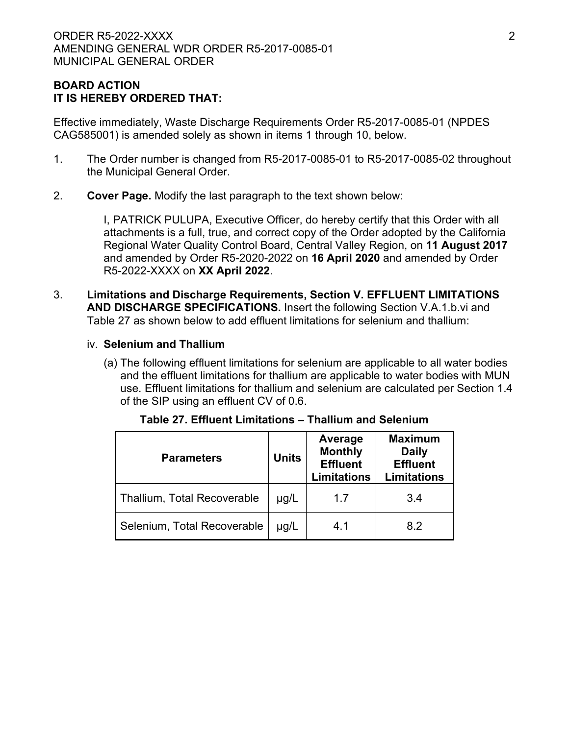# **BOARD ACTION IT IS HEREBY ORDERED THAT:**

Effective immediately, Waste Discharge Requirements Order R5-2017-0085-01 (NPDES CAG585001) is amended solely as shown in items 1 through 10, below.

- 1. The Order number is changed from R5-2017-0085-01 to R5-2017-0085-02 throughout the Municipal General Order.
- 2. **Cover Page.** Modify the last paragraph to the text shown below:

I, PATRICK PULUPA, Executive Officer, do hereby certify that this Order with all attachments is a full, true, and correct copy of the Order adopted by the California Regional Water Quality Control Board, Central Valley Region, on **11 August 2017** and amended by Order R5-2020-2022 on **16 April 2020** and amended by Order R5-2022-XXXX on **XX April 2022**.

- 3. **Limitations and Discharge Requirements, Section V. EFFLUENT LIMITATIONS AND DISCHARGE SPECIFICATIONS.** Insert the following Section V.A.1.b.vi and Table 27 as shown below to add effluent limitations for selenium and thallium:
	- iv. **Selenium and Thallium**
		- (a) The following effluent limitations for selenium are applicable to all water bodies and the effluent limitations for thallium are applicable to water bodies with MUN use. Effluent limitations for thallium and selenium are calculated per Section 1.4 of the SIP using an effluent CV of 0.6.

| <b>Parameters</b>                  | <b>Units</b> | Average<br><b>Monthly</b><br><b>Effluent</b><br><b>Limitations</b> | <b>Maximum</b><br><b>Daily</b><br><b>Effluent</b><br><b>Limitations</b> |  |  |
|------------------------------------|--------------|--------------------------------------------------------------------|-------------------------------------------------------------------------|--|--|
| <b>Thallium, Total Recoverable</b> | $\mu$ g/L    | 1.7                                                                | 3.4                                                                     |  |  |
| Selenium, Total Recoverable        | $\mu$ g/L    | 4.1                                                                | 8.2                                                                     |  |  |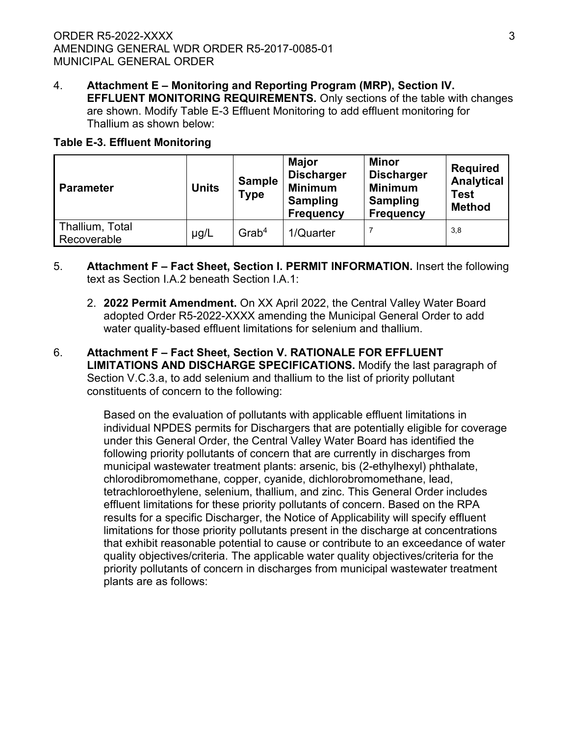4. **Attachment E – Monitoring and Reporting Program (MRP), Section IV. EFFLUENT MONITORING REQUIREMENTS.** Only sections of the table with changes are shown. Modify Table E-3 Effluent Monitoring to add effluent monitoring for Thallium as shown below:

# **Table E-3. Effluent Monitoring**

| <b>Parameter</b>               | <b>Sample</b><br><b>Units</b><br>Type |                      | <b>Major</b><br><b>Discharger</b><br><b>Minimum</b><br><b>Sampling</b><br><b>Frequency</b> | <b>Minor</b><br><b>Discharger</b><br><b>Minimum</b><br><b>Sampling</b><br><b>Frequency</b> | <b>Required</b><br><b>Analytical</b><br><b>Test</b><br><b>Method</b> |  |
|--------------------------------|---------------------------------------|----------------------|--------------------------------------------------------------------------------------------|--------------------------------------------------------------------------------------------|----------------------------------------------------------------------|--|
| Thallium, Total<br>Recoverable | $\mu$ g/L                             | $G$ rab <sup>4</sup> | 1/Quarter                                                                                  |                                                                                            | 3,8                                                                  |  |

- 5. **Attachment F – Fact Sheet, Section I. PERMIT INFORMATION.** Insert the following text as Section I.A.2 beneath Section I.A.1:
	- 2. **2022 Permit Amendment.** On XX April 2022, the Central Valley Water Board adopted Order R5-2022-XXXX amending the Municipal General Order to add water quality-based effluent limitations for selenium and thallium.
- 6. **Attachment F – Fact Sheet, Section V. RATIONALE FOR EFFLUENT LIMITATIONS AND DISCHARGE SPECIFICATIONS.** Modify the last paragraph of Section V.C.3.a, to add selenium and thallium to the list of priority pollutant constituents of concern to the following:

Based on the evaluation of pollutants with applicable effluent limitations in individual NPDES permits for Dischargers that are potentially eligible for coverage under this General Order, the Central Valley Water Board has identified the following priority pollutants of concern that are currently in discharges from municipal wastewater treatment plants: arsenic, bis (2-ethylhexyl) phthalate, chlorodibromomethane, copper, cyanide, dichlorobromomethane, lead, tetrachloroethylene, selenium, thallium, and zinc. This General Order includes effluent limitations for these priority pollutants of concern. Based on the RPA results for a specific Discharger, the Notice of Applicability will specify effluent limitations for those priority pollutants present in the discharge at concentrations that exhibit reasonable potential to cause or contribute to an exceedance of water quality objectives/criteria. The applicable water quality objectives/criteria for the priority pollutants of concern in discharges from municipal wastewater treatment plants are as follows: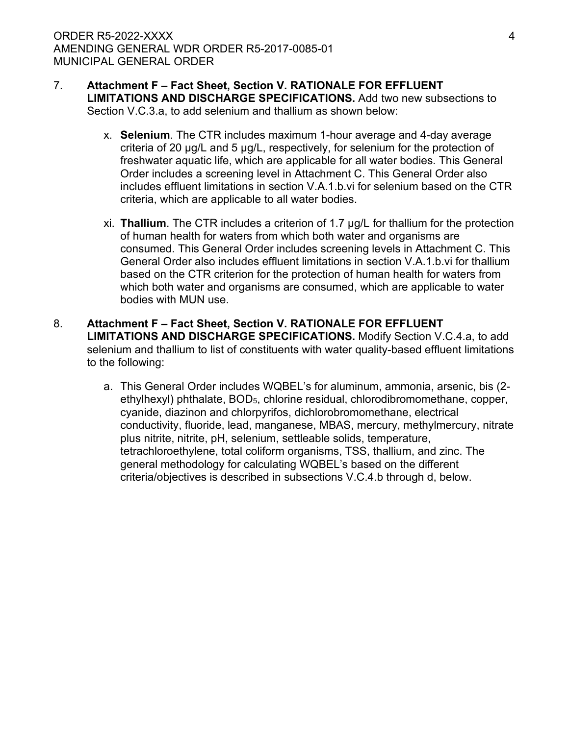- 7. **Attachment F – Fact Sheet, Section V. RATIONALE FOR EFFLUENT LIMITATIONS AND DISCHARGE SPECIFICATIONS.** Add two new subsections to Section V.C.3.a, to add selenium and thallium as shown below:
	- x. **Selenium**. The CTR includes maximum 1-hour average and 4-day average criteria of 20 µg/L and 5 µg/L, respectively, for selenium for the protection of freshwater aquatic life, which are applicable for all water bodies. This General Order includes a screening level in Attachment C. This General Order also includes effluent limitations in section V.A.1.b.vi for selenium based on the CTR criteria, which are applicable to all water bodies.
	- xi. **Thallium**. The CTR includes a criterion of 1.7 µg/L for thallium for the protection of human health for waters from which both water and organisms are consumed. This General Order includes screening levels in Attachment C. This General Order also includes effluent limitations in section V.A.1.b.vi for thallium based on the CTR criterion for the protection of human health for waters from which both water and organisms are consumed, which are applicable to water bodies with MUN use.
- 8. **Attachment F – Fact Sheet, Section V. RATIONALE FOR EFFLUENT LIMITATIONS AND DISCHARGE SPECIFICATIONS.** Modify Section V.C.4.a, to add selenium and thallium to list of constituents with water quality-based effluent limitations to the following:
	- a. This General Order includes WQBEL's for aluminum, ammonia, arsenic, bis (2 ethylhexyl) phthalate, BOD5, chlorine residual, chlorodibromomethane, copper, cyanide, diazinon and chlorpyrifos, dichlorobromomethane, electrical conductivity, fluoride, lead, manganese, MBAS, mercury, methylmercury, nitrate plus nitrite, nitrite, pH, selenium, settleable solids, temperature, tetrachloroethylene, total coliform organisms, TSS, thallium, and zinc. The general methodology for calculating WQBEL's based on the different criteria/objectives is described in subsections V.C.4.b through d, below.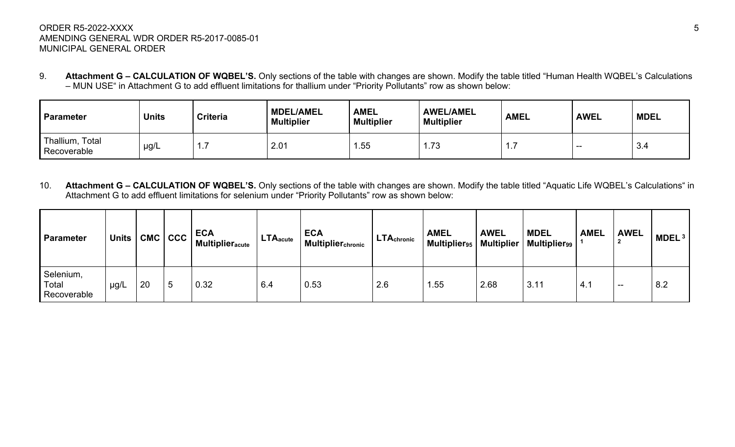# ORDER R5-2022-XXXX 5 AMENDING GENERAL WDR ORDER R5-2017-0085-01 MUNICIPAL GENERAL ORDER

9. **Attachment G – CALCULATION OF WQBEL'S.** Only sections of the table with changes are shown. Modify the table titled "Human Health WQBEL's Calculations – MUN USE" in Attachment G to add effluent limitations for thallium under "Priority Pollutants" row as shown below:

| Parameter                      | <b>Units</b> | <b>Criteria</b> | <b>MDEL/AMEL</b><br><b>Multiplier</b> | <b>AMEL</b><br><b>Multiplier</b> | <b>AWEL/AMEL</b><br><b>Multiplier</b> | <b>AMEL</b> | <b>AWEL</b> | <b>MDEL</b> |
|--------------------------------|--------------|-----------------|---------------------------------------|----------------------------------|---------------------------------------|-------------|-------------|-------------|
| Thallium, Total<br>Recoverable | $\mu$ g/L    | .               | 2.01                                  | .55                              | 1.73                                  | .           | --          | -3.4        |

10. **Attachment G – CALCULATION OF WQBEL'S.** Only sections of the table with changes are shown. Modify the table titled "Aquatic Life WQBEL's Calculations" in Attachment G to add effluent limitations for selenium under "Priority Pollutants" row as shown below:

| Parameter                         | <b>Units</b> | <b>CMC</b> | <b>CCC</b> | <b>ECA</b><br><b>Multiplier</b> acute | LTA <sub>acute</sub> | <b>ECA</b><br>  Multiplier <sub>chronic</sub> | <b>LTAchronic</b> | <b>AMEL</b><br>Multiplier <sub>95</sub> | <b>AWEL</b><br>Multiplier | <b>MDEL</b><br><b>Multiplier</b> <sub>99</sub> | <b>AMEL</b>                      | <b>AWEL</b> | MDEL <sup>3</sup> |
|-----------------------------------|--------------|------------|------------|---------------------------------------|----------------------|-----------------------------------------------|-------------------|-----------------------------------------|---------------------------|------------------------------------------------|----------------------------------|-------------|-------------------|
| Selenium,<br>Total<br>Recoverable | $\mu$ g/L    | 20         | .5         | 0.32                                  | 6.4                  | 0.53                                          | 2.6               | 1.55                                    | 2.68                      | 3.11                                           | $\overline{A}$<br><sup>4.1</sup> | $- -$       | 8.2               |